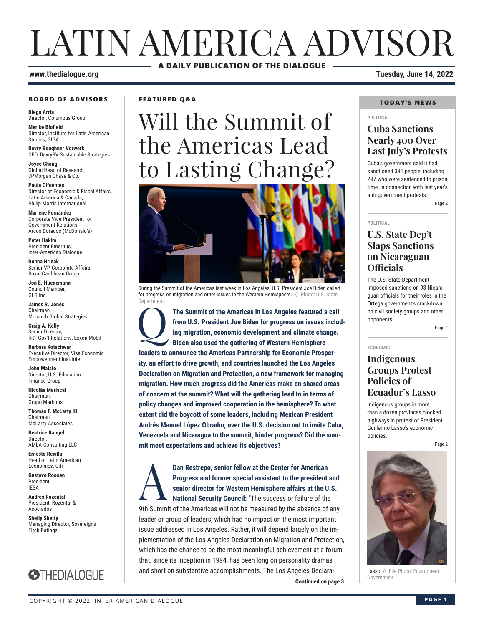# LATIN AMERICA ADVISOR **A DAILY PUBLICATION OF THE DIALOGUE**

#### **www.thedialogue.org Tuesday, June 14, 2022**

#### **BOARD OF ADVISORS**

**Diego Arria** Director, Columbus Group

**Merike Blofield** Director, Institute for Latin American Studies, GIGA

**Devry Boughner Vorwerk** CEO, DevryBV Sustainable Strategies

**Joyce Chang** Global Head of Research, JPMorgan Chase & Co.

**Paula Cifuentes** Director of Economic & Fiscal Affairs, Latin America & Canada, Philip Morris International

**Marlene Fernández** Corporate Vice President for Government Relations, Arcos Dorados (McDonald's)

**Peter Hakim** President Emeritus, Inter-American Dialogue

**Donna Hrinak** Senior VP, Corporate Affairs, Royal Caribbean Group

**Jon E. Huenemann** Council Member, GLG Inc.

**James R. Jones** Chairman, Monarch Global Strategies

**Craig A. Kelly** Senior Director, Int'l Gov't Relations, Exxon Mobil

**Barbara Kotschwar** Executive Director, Visa Economic Empowerment Institute

**John Maisto** Director, U.S. Education Finance Group

**Nicolás Mariscal** Chairman, Grupo Marhnos

**Thomas F. McLarty III** Chairman, McLarty Associates

**Beatrice Rangel**  Director, AMLA Consulting LLC

**Ernesto Revilla**  Head of Latin American Economics, Citi

**Gustavo Roosen** President, IESA

**Andrés Rozental**  President, Rozental & Asociados

**Shelly Shetty** Managing Director, Sovereigns Fitch Ratings



## **FEATURED Q&A**

# Will the Summit of the Americas Lead to Lasting Change?



During the Summit of the Americas last week in Los Angeles, U.S. President Joe Biden called for progress on migration and other issues in the Western Hemisphere. // Photo: U.S. State **Department** 

The Summit of the Americas in Los Angeles featured a call from U.S. President Joe Biden for progress on issues including migration, economic development and climate change.<br>Biden also used the gathering of Western Hemisphe **from U.S. President Joe Biden for progress on issues including migration, economic development and climate change. Biden also used the gathering of Western Hemisphere leaders to announce the Americas Partnership for Economic Prosperity, an effort to drive growth, and countries launched the Los Angeles Declaration on Migration and Protection, a new framework for managing migration. How much progress did the Americas make on shared areas of concern at the summit? What will the gathering lead to in terms of policy changes and improved cooperation in the hemisphere? To what extent did the boycott of some leaders, including Mexican President Andrés Manuel López Obrador, over the U.S. decision not to invite Cuba, Venezuela and Nicaragua to the summit, hinder progress? Did the summit meet expectations and achieve its objectives?**

**Continued on page 3** Dan Restrepo, senior fellow at the Center for American Progress and former special assistant to the president senior director for Western Hemisphere affairs at the Unational Security Council: "The success or failure of the **Progress and former special assistant to the president and senior director for Western Hemisphere affairs at the U.S. National Security Council:** "The success or failure of the 9th Summit of the Americas will not be measured by the absence of any leader or group of leaders, which had no impact on the most important issue addressed in Los Angeles. Rather, it will depend largely on the implementation of the Los Angeles Declaration on Migration and Protection, which has the chance to be the most meaningful achievement at a forum that, since its inception in 1994, has been long on personality dramas and short on substantive accomplishments. The Los Angeles Declara-

## **TODAY'S NEWS**

#### **POLITICAL**

## **Cuba Sanctions Nearly 400 Over Last July's Protests**

Cuba's government said it had sanctioned 381 people, including 297 who were sentenced to prison time, in connection with last year's anti-government protests.

Page 2

#### **POLITICAL**

## **U.S. State Dep't Slaps Sanctions on Nicaraguan Officials**

The U.S. State Department imposed sanctions on 93 Nicaraguan officials for their roles in the Ortega government's crackdown on civil society groups and other opponents.

Page 2

**ECONOMIC**

## **Indigenous Groups Protest Policies of Ecuador's Lasso**

Indigenous groups in more than a dozen provinces blocked highways in protest of President Guillermo Lasso's economic policies.

Page 2



Lasso // File Photo: Ecuadorean<br>Government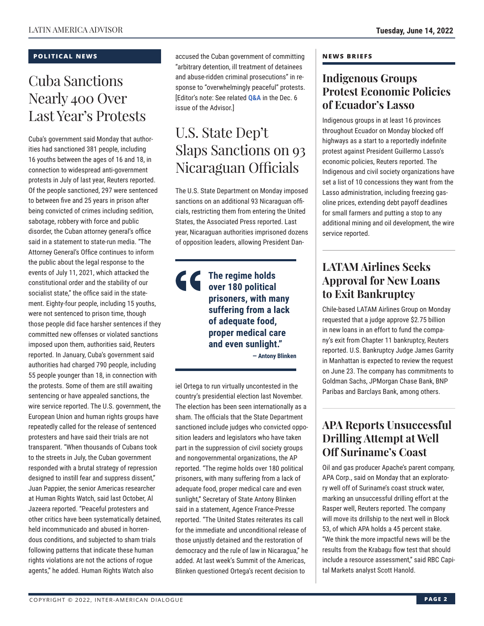## **POLITICAL NEWS**

## Cuba Sanctions Nearly 400 Over Last Year's Protests

Cuba's government said Monday that authorities had sanctioned 381 people, including 16 youths between the ages of 16 and 18, in connection to widespread anti-government protests in July of last year, Reuters reported. Of the people sanctioned, 297 were sentenced to between five and 25 years in prison after being convicted of crimes including sedition, sabotage, robbery with force and public disorder, the Cuban attorney general's office said in a statement to state-run media. "The Attorney General's Office continues to inform the public about the legal response to the events of July 11, 2021, which attacked the constitutional order and the stability of our socialist state," the office said in the statement. Eighty-four people, including 15 youths, were not sentenced to prison time, though those people did face harsher sentences if they committed new offenses or violated sanctions imposed upon them, authorities said, Reuters reported. In January, Cuba's government said authorities had charged 790 people, including 55 people younger than 18, in connection with the protests. Some of them are still awaiting sentencing or have appealed sanctions, the wire service reported. The U.S. government, the European Union and human rights groups have repeatedly called for the release of sentenced protesters and have said their trials are not transparent. "When thousands of Cubans took to the streets in July, the Cuban government responded with a brutal strategy of repression designed to instill fear and suppress dissent," Juan Pappier, the senior Americas researcher at Human Rights Watch, said last October, Al Jazeera reported. "Peaceful protesters and other critics have been systematically detained, held incommunicado and abused in horrendous conditions, and subjected to sham trials following patterns that indicate these human rights violations are not the actions of rogue agents," he added. Human Rights Watch also

accused the Cuban government of committing "arbitrary detention, ill treatment of detainees and abuse-ridden criminal prosecutions" in response to "overwhelmingly peaceful" protests. [Editor's note: See related **[Q&A](https://www.thedialogue.org/wp-content/uploads/2021/12/LAA211206.pdf)** in the Dec. 6 issue of the Advisor.]

# U.S. State Dep't Slaps Sanctions on 93 Nicaraguan Officials

The U.S. State Department on Monday imposed sanctions on an additional 93 Nicaraguan officials, restricting them from entering the United States, the Associated Press reported. Last year, Nicaraguan authorities imprisoned dozens of opposition leaders, allowing President Dan-

## **The regime holds over 180 political prisoners, with many suffering from a lack of adequate food, proper medical care and even sunlight."**

**— Antony Blinken**

iel Ortega to run virtually uncontested in the country's presidential election last November. The election has been seen internationally as a sham. The officials that the State Department sanctioned include judges who convicted opposition leaders and legislators who have taken part in the suppression of civil society groups and nongovernmental organizations, the AP reported. "The regime holds over 180 political prisoners, with many suffering from a lack of adequate food, proper medical care and even sunlight," Secretary of State Antony Blinken said in a statement, Agence France-Presse reported. "The United States reiterates its call for the immediate and unconditional release of those unjustly detained and the restoration of democracy and the rule of law in Nicaragua," he added. At last week's Summit of the Americas, Blinken questioned Ortega's recent decision to

## **NEWS BRIEFS**

## **Indigenous Groups Protest Economic Policies of Ecuador's Lasso**

Indigenous groups in at least 16 provinces throughout Ecuador on Monday blocked off highways as a start to a reportedly indefinite protest against President Guillermo Lasso's economic policies, Reuters reported. The Indigenous and civil society organizations have set a list of 10 concessions they want from the Lasso administration, including freezing gasoline prices, extending debt payoff deadlines for small farmers and putting a stop to any additional mining and oil development, the wire service reported.

## **LATAM Airlines Seeks Approval for New Loans to Exit Bankruptcy**

Chile-based LATAM Airlines Group on Monday requested that a judge approve \$2.75 billion in new loans in an effort to fund the company's exit from Chapter 11 bankruptcy, Reuters reported. U.S. Bankruptcy Judge James Garrity in Manhattan is expected to review the request on June 23. The company has commitments to Goldman Sachs, JPMorgan Chase Bank, BNP Paribas and Barclays Bank, among others.

## **APA Reports Unsuccessful Drilling Attempt at Well Off Suriname's Coast**

Oil and gas producer Apache's parent company, APA Corp., said on Monday that an exploratory well off of Suriname's coast struck water, marking an unsuccessful drilling effort at the Rasper well, Reuters reported. The company will move its drillship to the next well in Block 53, of which APA holds a 45 percent stake. "We think the more impactful news will be the results from the Krabagu flow test that should include a resource assessment," said RBC Capital Markets analyst Scott Hanold.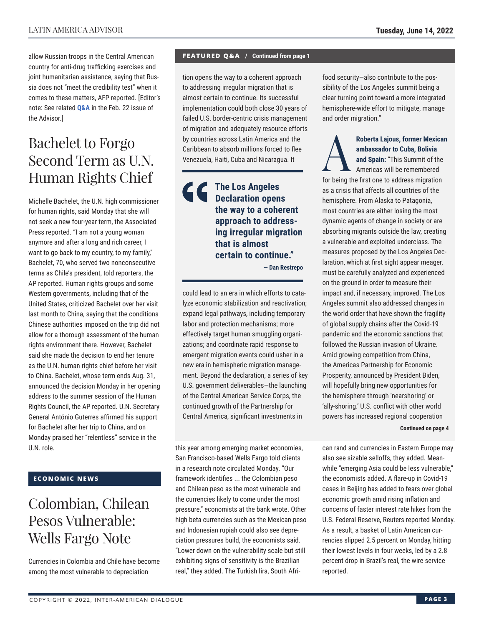allow Russian troops in the Central American country for anti-drug trafficking exercises and joint humanitarian assistance, saying that Russia does not "meet the credibility test" when it comes to these matters, AFP reported. [Editor's note: See related **[Q&A](https://www.thedialogue.org/wp-content/uploads/2022/02/LAA220222.pdf)** in the Feb. 22 issue of the Advisor.]

# Bachelet to Forgo Second Term as U.N. Human Rights Chief

Michelle Bachelet, the U.N. high commissioner for human rights, said Monday that she will not seek a new four-year term, the Associated Press reported. "I am not a young woman anymore and after a long and rich career, I want to go back to my country, to my family," Bachelet, 70, who served two nonconsecutive terms as Chile's president, told reporters, the AP reported. Human rights groups and some Western governments, including that of the United States, criticized Bachelet over her visit last month to China, saying that the conditions Chinese authorities imposed on the trip did not allow for a thorough assessment of the human rights environment there. However, Bachelet said she made the decision to end her tenure as the U.N. human rights chief before her visit to China. Bachelet, whose term ends Aug. 31, announced the decision Monday in her opening address to the summer session of the Human Rights Council, the AP reported. U.N. Secretary General António Guterres affirmed his support for Bachelet after her trip to China, and on Monday praised her "relentless" service in the U.N. role.

## **ECONOMIC NEWS**

# Colombian, Chilean Pesos Vulnerable: Wells Fargo Note

Currencies in Colombia and Chile have become among the most vulnerable to depreciation

#### **FEATURED Q&A / Continued from page 1**

tion opens the way to a coherent approach to addressing irregular migration that is almost certain to continue. Its successful implementation could both close 30 years of failed U.S. border-centric crisis management of migration and adequately resource efforts by countries across Latin America and the Caribbean to absorb millions forced to flee Venezuela, Haiti, Cuba and Nicaragua. It

## **The Los Angeles Declaration opens the way to a coherent approach to addressing irregular migration that is almost certain to continue." — Dan Restrepo**

could lead to an era in which efforts to catalyze economic stabilization and reactivation; expand legal pathways, including temporary labor and protection mechanisms; more effectively target human smuggling organizations; and coordinate rapid response to emergent migration events could usher in a new era in hemispheric migration management. Beyond the declaration, a series of key U.S. government deliverables—the launching of the Central American Service Corps, the continued growth of the Partnership for Central America, significant investments in

this year among emerging market economies, San Francisco-based Wells Fargo told clients in a research note circulated Monday. "Our framework identifies ... the Colombian peso and Chilean peso as the most vulnerable and the currencies likely to come under the most pressure," economists at the bank wrote. Other high beta currencies such as the Mexican peso and Indonesian rupiah could also see depreciation pressures build, the economists said. "Lower down on the vulnerability scale but still exhibiting signs of sensitivity is the Brazilian real," they added. The Turkish lira, South Afrifood security—also contribute to the possibility of the Los Angeles summit being a clear turning point toward a more integrated hemisphere-wide effort to mitigate, manage and order migration."

Roberta Lajous, former Mexican<br>
ambassador to Cuba, Bolivia<br>
and Spain: "This Summit of the<br>
Americas will be remembered<br>
for boing the first one to address migration **ambassador to Cuba, Bolivia and Spain:** "This Summit of the Americas will be remembered for being the first one to address migration as a crisis that affects all countries of the hemisphere. From Alaska to Patagonia, most countries are either losing the most dynamic agents of change in society or are absorbing migrants outside the law, creating a vulnerable and exploited underclass. The measures proposed by the Los Angeles Declaration, which at first sight appear meager, must be carefully analyzed and experienced on the ground in order to measure their impact and, if necessary, improved. The Los Angeles summit also addressed changes in the world order that have shown the fragility of global supply chains after the Covid-19 pandemic and the economic sanctions that followed the Russian invasion of Ukraine. Amid growing competition from China, the Americas Partnership for Economic Prosperity, announced by President Biden, will hopefully bring new opportunities for the hemisphere through 'nearshoring' or 'ally-shoring.' U.S. conflict with other world powers has increased regional cooperation

#### **Continued on page 4**

can rand and currencies in Eastern Europe may also see sizable selloffs, they added. Meanwhile "emerging Asia could be less vulnerable," the economists added. A flare-up in Covid-19 cases in Beijing has added to fears over global economic growth amid rising inflation and concerns of faster interest rate hikes from the U.S. Federal Reserve, Reuters reported Monday. As a result, a basket of Latin American currencies slipped 2.5 percent on Monday, hitting their lowest levels in four weeks, led by a 2.8 percent drop in Brazil's real, the wire service reported.